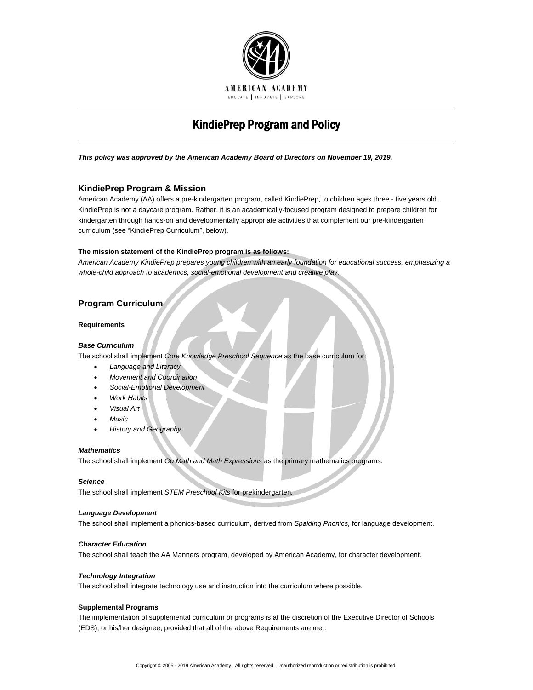

# KindiePrep Program and Policy

*This policy was approved by the American Academy Board of Directors on November 19, 2019.*

# **KindiePrep Program & Mission**

American Academy (AA) offers a pre-kindergarten program, called KindiePrep, to children ages three - five years old. KindiePrep is not a daycare program. Rather, it is an academically-focused program designed to prepare children for kindergarten through hands-on and developmentally appropriate activities that complement our pre-kindergarten curriculum (see "KindiePrep Curriculum", below).

# **The mission statement of the KindiePrep program is as follows:**

*American Academy KindiePrep prepares young children with an early foundation for educational success, emphasizing a whole-child approach to academics, social-emotional development and creative play.*

# **Program Curriculum**

# **Requirements**

# *Base Curriculum*

The school shall implement *Core Knowledge Preschool Sequence* as the base curriculum for:

- *Language and Literacy*
- *Movement and Coordination*
- *Social-Emotional Development*
- *Work Habits*
- *Visual Art*
- *Music*
- *History and Geography*

#### *Mathematics*

The school shall implement *Go Math and Math Expressions* as the primary mathematics programs.

#### *Science*

The school shall implement *STEM Preschool Kits* for prekindergarten*.*

# *Language Development*

The school shall implement a phonics-based curriculum, derived from *Spalding Phonics,* for language development.

# *Character Education*

The school shall teach the AA Manners program, developed by American Academy*,* for character development.

# *Technology Integration*

The school shall integrate technology use and instruction into the curriculum where possible.

#### **Supplemental Programs**

The implementation of supplemental curriculum or programs is at the discretion of the Executive Director of Schools (EDS), or his/her designee, provided that all of the above Requirements are met.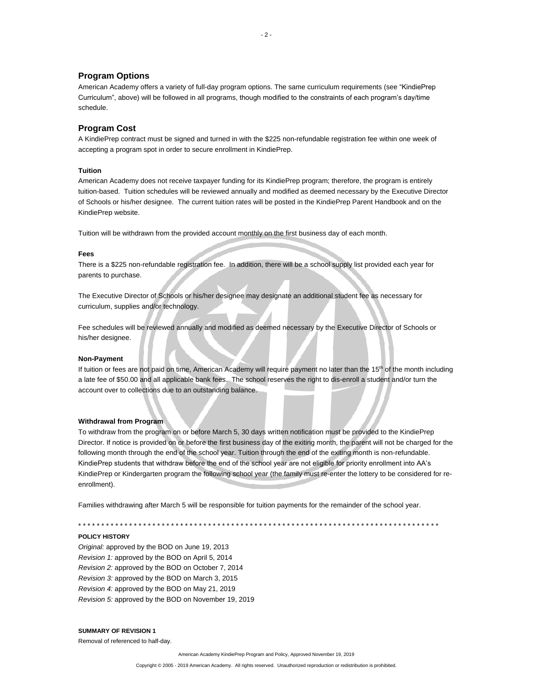# **Program Options**

American Academy offers a variety of full-day program options. The same curriculum requirements (see "KindiePrep Curriculum", above) will be followed in all programs, though modified to the constraints of each program's day/time schedule.

# **Program Cost**

A KindiePrep contract must be signed and turned in with the \$225 non-refundable registration fee within one week of accepting a program spot in order to secure enrollment in KindiePrep.

# **Tuition**

American Academy does not receive taxpayer funding for its KindiePrep program; therefore, the program is entirely tuition-based. Tuition schedules will be reviewed annually and modified as deemed necessary by the Executive Director of Schools or his/her designee. The current tuition rates will be posted in the KindiePrep Parent Handbook and on the KindiePrep website.

Tuition will be withdrawn from the provided account monthly on the first business day of each month.

#### **Fees**

There is a \$225 non-refundable registration fee. In addition, there will be a school supply list provided each year for parents to purchase.

The Executive Director of Schools or his/her designee may designate an additional student fee as necessary for curriculum, supplies and/or technology.

Fee schedules will be reviewed annually and modified as deemed necessary by the Executive Director of Schools or his/her designee.

#### **Non-Payment**

If tuition or fees are not paid on time, American Academy will require payment no later than the 15<sup>th</sup> of the month including a late fee of \$50.00 and all applicable bank fees. The school reserves the right to dis-enroll a student and/or turn the account over to collections due to an outstanding balance.

# **Withdrawal from Program**

To withdraw from the program on or before March 5, 30 days written notification must be provided to the KindiePrep Director. If notice is provided on or before the first business day of the exiting month, the parent will not be charged for the following month through the end of the school year. Tuition through the end of the exiting month is non-refundable. KindiePrep students that withdraw before the end of the school year are not eligible for priority enrollment into AA's KindiePrep or Kindergarten program the following school year (the family must re-enter the lottery to be considered for reenrollment).

Families withdrawing after March 5 will be responsible for tuition payments for the remainder of the school year.

\* \* \* \* \* \* \* \* \* \* \* \* \* \* \* \* \* \* \* \* \* \* \* \* \* \* \* \* \* \* \* \* \* \* \* \* \* \* \* \* \* \* \* \* \* \* \* \* \* \* \* \* \* \* \* \* \* \* \* \* \* \* \* \* \* \* \* \* \* \* \* \* \* \* \* \* \* \*

# **POLICY HISTORY**

*Original:* approved by the BOD on June 19, 2013 *Revision 1:* approved by the BOD on April 5, 2014 *Revision 2:* approved by the BOD on October 7, 2014 *Revision 3:* approved by the BOD on March 3, 2015 *Revision 4:* approved by the BOD on May 21, 2019 *Revision 5:* approved by the BOD on November 19, 2019

## **SUMMARY OF REVISION 1**

Removal of referenced to half-day.